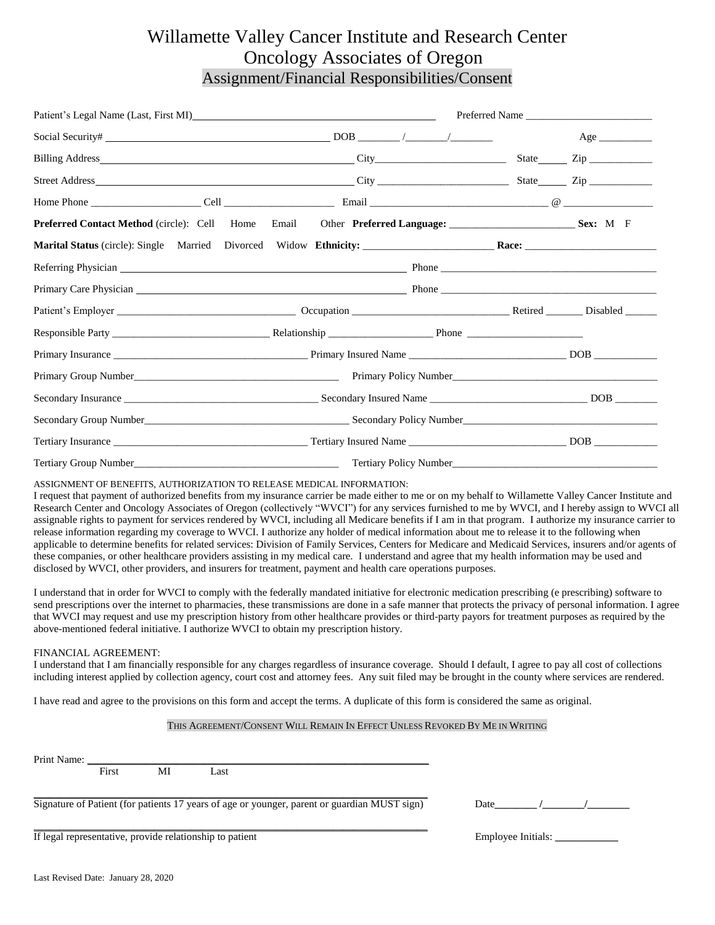## Willamette Valley Cancer Institute and Research Center Oncology Associates of Oregon Assignment/Financial Responsibilities/Consent

|  | Preferred Name                                                                                                                                                                                                                 |                                                       |  |  |  |
|--|--------------------------------------------------------------------------------------------------------------------------------------------------------------------------------------------------------------------------------|-------------------------------------------------------|--|--|--|
|  |                                                                                                                                                                                                                                | Age                                                   |  |  |  |
|  |                                                                                                                                                                                                                                |                                                       |  |  |  |
|  |                                                                                                                                                                                                                                |                                                       |  |  |  |
|  |                                                                                                                                                                                                                                |                                                       |  |  |  |
|  | <b>Preferred Contact Method</b> (circle): Cell Home Email Other Preferred Language: Sex: M F                                                                                                                                   |                                                       |  |  |  |
|  |                                                                                                                                                                                                                                |                                                       |  |  |  |
|  |                                                                                                                                                                                                                                |                                                       |  |  |  |
|  | Primary Care Physician 2008 Communication and the Phone 2008 Phone 2008 Phone 2008 Phone 2008 Phone 2008 Phone 2008 Phone 2008 Phone 2008 Phone 2008 Phone 2008 Phone 2008 Phone 2008 Phone 2008 Phone 2008 Phone 2008 Phone 2 |                                                       |  |  |  |
|  |                                                                                                                                                                                                                                |                                                       |  |  |  |
|  |                                                                                                                                                                                                                                |                                                       |  |  |  |
|  |                                                                                                                                                                                                                                |                                                       |  |  |  |
|  |                                                                                                                                                                                                                                | Primary Policy Number<br><u>Frimary Policy Number</u> |  |  |  |
|  |                                                                                                                                                                                                                                |                                                       |  |  |  |
|  |                                                                                                                                                                                                                                |                                                       |  |  |  |
|  |                                                                                                                                                                                                                                |                                                       |  |  |  |
|  |                                                                                                                                                                                                                                |                                                       |  |  |  |

ASSIGNMENT OF BENEFITS, AUTHORIZATION TO RELEASE MEDICAL INFORMATION:

I request that payment of authorized benefits from my insurance carrier be made either to me or on my behalf to Willamette Valley Cancer Institute and Research Center and Oncology Associates of Oregon (collectively "WVCI") for any services furnished to me by WVCI, and I hereby assign to WVCI all assignable rights to payment for services rendered by WVCI, including all Medicare benefits if I am in that program. I authorize my insurance carrier to release information regarding my coverage to WVCI. I authorize any holder of medical information about me to release it to the following when applicable to determine benefits for related services: Division of Family Services, Centers for Medicare and Medicaid Services, insurers and/or agents of these companies, or other healthcare providers assisting in my medical care. I understand and agree that my health information may be used and disclosed by WVCI, other providers, and insurers for treatment, payment and health care operations purposes.

I understand that in order for WVCI to comply with the federally mandated initiative for electronic medication prescribing (e prescribing) software to send prescriptions over the internet to pharmacies, these transmissions are done in a safe manner that protects the privacy of personal information. I agree that WVCI may request and use my prescription history from other healthcare provides or third-party payors for treatment purposes as required by the above-mentioned federal initiative. I authorize WVCI to obtain my prescription history.

#### FINANCIAL AGREEMENT:

I understand that I am financially responsible for any charges regardless of insurance coverage. Should I default, I agree to pay all cost of collections including interest applied by collection agency, court cost and attorney fees. Any suit filed may be brought in the county where services are rendered.

I have read and agree to the provisions on this form and accept the terms. A duplicate of this form is considered the same as original.

#### THIS AGREEMENT/CONSENT WILL REMAIN IN EFFECT UNLESS REVOKED BY ME IN WRITING

Print Name: \_\_\_\_\_\_\_\_\_\_\_\_\_\_\_\_\_\_\_\_\_\_\_\_\_\_\_\_\_\_\_\_\_\_\_\_\_\_\_\_\_\_\_\_\_\_\_\_\_\_\_\_\_\_\_\_\_\_\_\_\_\_\_\_\_

First MI Last

\_\_\_\_\_\_\_\_\_\_\_\_\_\_\_\_\_\_\_\_\_\_\_\_\_\_\_\_\_\_\_\_\_\_\_\_\_\_\_\_\_\_\_\_\_\_\_\_\_\_\_\_\_\_\_\_\_\_\_\_\_\_\_\_\_\_\_\_\_\_\_\_\_\_\_ Signature of Patient (for patients 17 years of age or younger, parent or guardian MUST sign)Date**\_\_\_\_\_\_\_\_ /\_\_\_\_\_\_\_\_/\_\_\_\_\_\_\_\_**  \_\_\_\_\_\_\_\_\_\_\_\_\_\_\_\_\_\_\_\_\_\_\_\_\_\_\_\_\_\_\_\_\_\_\_\_\_\_\_\_\_\_\_\_\_\_\_\_\_\_\_\_\_\_\_\_\_\_\_\_\_\_\_\_\_\_\_\_\_\_\_\_\_\_\_

If legal representative, provide relationship to patient Employee Initials: \_\_\_\_\_\_\_\_\_\_\_\_\_\_\_\_\_\_\_\_\_\_\_\_\_\_\_\_\_\_\_\_\_\_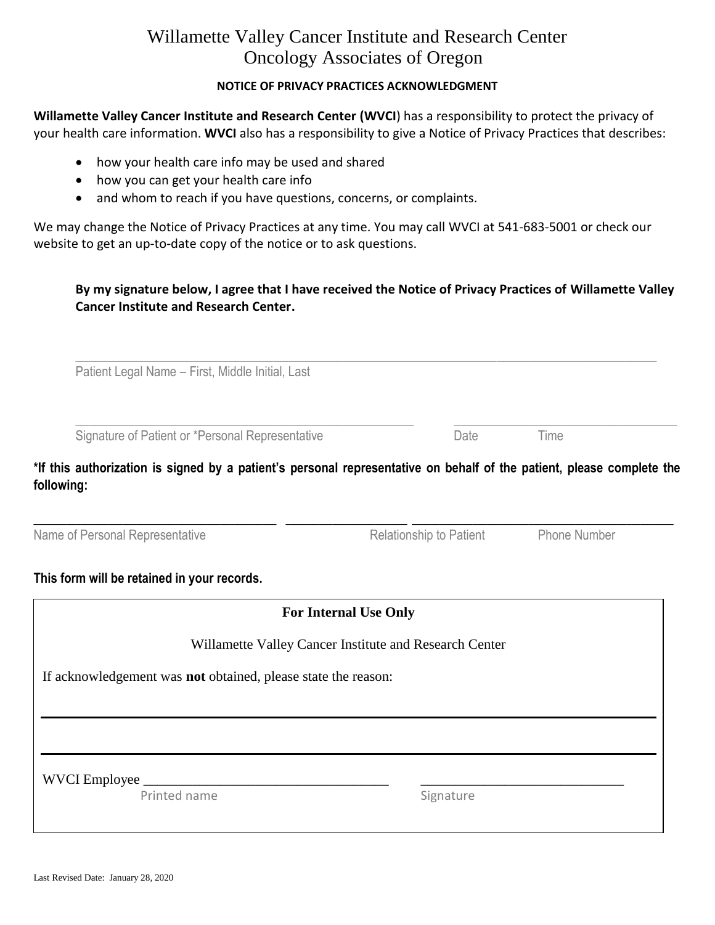# Willamette Valley Cancer Institute and Research Center Oncology Associates of Oregon

## **NOTICE OF PRIVACY PRACTICES ACKNOWLEDGMENT**

**Willamette Valley Cancer Institute and Research Center (WVCI**) has a responsibility to protect the privacy of your health care information. **WVCI** also has a responsibility to give a Notice of Privacy Practices that describes:

- how your health care info may be used and shared
- how you can get your health care info
- and whom to reach if you have questions, concerns, or complaints.

We may change the Notice of Privacy Practices at any time. You may call WVCI at 541-683-5001 or check our website to get an up-to-date copy of the notice or to ask questions.

## **By my signature below, I agree that I have received the Notice of Privacy Practices of Willamette Valley Cancer Institute and Research Center.**

 $\_$  , and the set of the set of the set of the set of the set of the set of the set of the set of the set of the set of the set of the set of the set of the set of the set of the set of the set of the set of the set of th

 $\_$  , and the set of the set of the set of the set of the set of the set of the set of the set of the set of the set of the set of the set of the set of the set of the set of the set of the set of the set of the set of th

Patient Legal Name – First, Middle Initial, Last

Signature of Patient or \*Personal Representative Time Date Date Time

Relationship to Patient Phone Number

**\*If this authorization is signed by a patient's personal representative on behalf of the patient, please complete the following:**

**\_\_\_\_\_\_\_\_\_\_\_\_\_\_\_\_\_\_\_\_\_\_\_\_\_\_\_\_\_\_\_\_\_\_\_\_\_\_\_\_\_\_\_\_\_\_\_\_\_\_\_\_ \_\_\_\_\_\_\_\_\_\_\_\_\_\_\_\_\_\_\_\_\_\_\_\_\_\_ \_\_\_\_\_\_\_\_\_\_\_\_\_\_\_\_\_\_\_\_\_\_\_\_\_\_\_\_\_\_\_\_\_\_\_\_\_\_\_\_\_\_\_\_\_\_\_\_\_\_\_\_\_\_\_\_**

| Name of Personal Representative |  |
|---------------------------------|--|
|---------------------------------|--|

**This form will be retained in your records.**

# **For Internal Use Only**

Willamette Valley Cancer Institute and Research Center

If acknowledgement was **not** obtained, please state the reason:

WVCI Employee \_\_\_\_\_\_\_\_\_\_\_\_\_\_\_\_\_\_\_\_\_\_\_\_\_\_\_\_\_\_\_\_\_\_\_ \_\_\_\_\_\_\_\_\_\_\_\_\_\_\_\_\_\_\_\_\_\_\_\_\_\_\_\_\_

Printed name Signature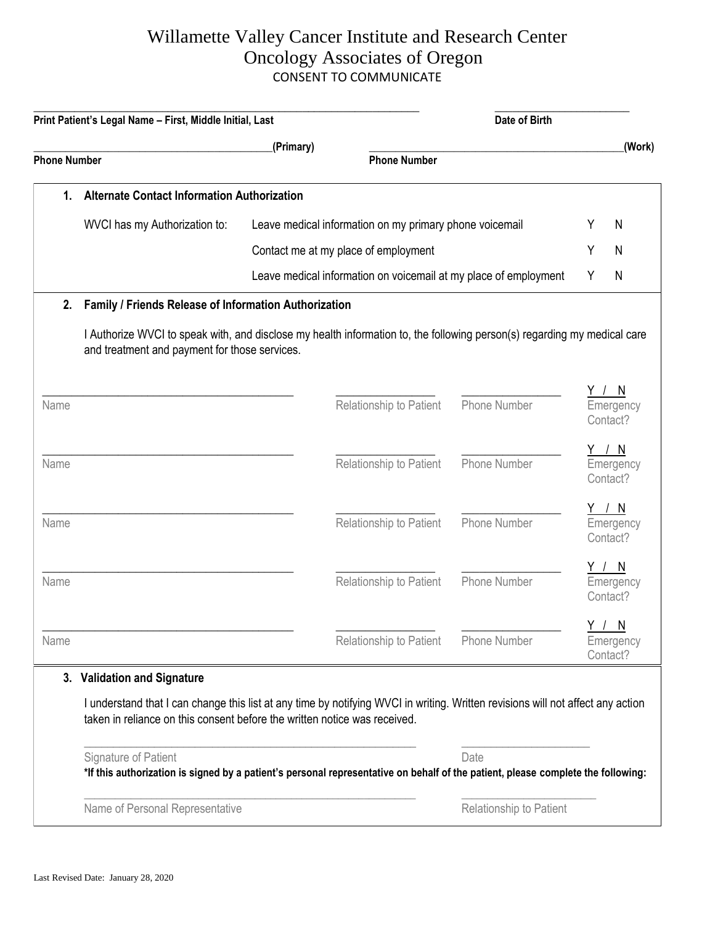### Willamette Valley Cancer Institute and Research Center Oncology Associates of Oregon CONSENT TO COMMUNICATE  $O_{\text{meala}}$  Associates of  $O_{\text{measured}}$ CONSENT TO COMMUNICATE

|                     | Print Patient's Legal Name - First, Middle Initial, Last                                                                                                                                                                                    |                                  |                                                         | Date of Birth                                                    |   |                                       |
|---------------------|---------------------------------------------------------------------------------------------------------------------------------------------------------------------------------------------------------------------------------------------|----------------------------------|---------------------------------------------------------|------------------------------------------------------------------|---|---------------------------------------|
| <b>Phone Number</b> |                                                                                                                                                                                                                                             | (Primary)<br><b>Phone Number</b> |                                                         |                                                                  |   | (Work)                                |
| 1.                  | <b>Alternate Contact Information Authorization</b>                                                                                                                                                                                          |                                  |                                                         |                                                                  |   |                                       |
|                     | WVCI has my Authorization to:                                                                                                                                                                                                               |                                  | Leave medical information on my primary phone voicemail |                                                                  | Y | N                                     |
|                     | Contact me at my place of employment                                                                                                                                                                                                        |                                  |                                                         | Y                                                                | N |                                       |
|                     |                                                                                                                                                                                                                                             |                                  |                                                         | Leave medical information on voicemail at my place of employment | Y | N                                     |
| 2.                  | Family / Friends Release of Information Authorization                                                                                                                                                                                       |                                  |                                                         |                                                                  |   |                                       |
|                     | I Authorize WVCI to speak with, and disclose my health information to, the following person(s) regarding my medical care<br>and treatment and payment for those services.                                                                   |                                  |                                                         |                                                                  |   |                                       |
| Name                |                                                                                                                                                                                                                                             |                                  | Relationship to Patient                                 | Phone Number                                                     |   | <u>Y/N</u><br>Emergency<br>Contact?   |
| Name                |                                                                                                                                                                                                                                             |                                  | Relationship to Patient                                 | Phone Number                                                     |   | Y / N<br>Emergency<br>Contact?        |
| Name                |                                                                                                                                                                                                                                             |                                  | Relationship to Patient                                 | Phone Number                                                     |   | <u>Y / N</u><br>Emergency<br>Contact? |
| Name                |                                                                                                                                                                                                                                             |                                  | Relationship to Patient                                 | <b>Phone Number</b>                                              |   | <u>Y / N</u><br>Emergency<br>Contact? |
| Name                |                                                                                                                                                                                                                                             |                                  | Relationship to Patient                                 | Phone Number                                                     |   | <u>Y / N</u><br>Emergency<br>Contact? |
|                     | 3. Validation and Signature<br>I understand that I can change this list at any time by notifying WVCI in writing. Written revisions will not affect any action<br>taken in reliance on this consent before the written notice was received. |                                  |                                                         |                                                                  |   |                                       |
|                     | Signature of Patient<br>*If this authorization is signed by a patient's personal representative on behalf of the patient, please complete the following:                                                                                    |                                  |                                                         | Date                                                             |   |                                       |
|                     | Name of Personal Representative                                                                                                                                                                                                             |                                  |                                                         | Relationship to Patient                                          |   |                                       |